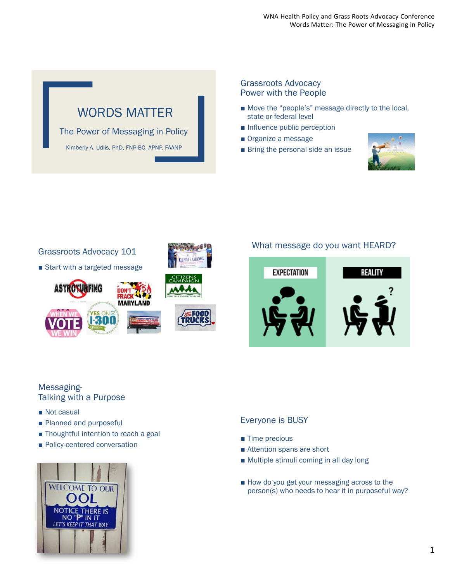# WORDS MATTER

The Power of Messaging in Policy

Kimberly A. Udlis, PhD, FNP-BC, APNP, FAANP

#### Grassroots Advocacy Power with the People

- Move the "people's" message directly to the local, state or federal level
- Influence public perception
- Organize a message
- Bring the personal side an issue





#### What message do you want HEARD?



#### Messaging-Talking with a Purpose

- Not casual
- Planned and purposeful
- Thoughtful intention to reach a goal
- Policy-centered conversation



#### Everyone is BUSY

- Time precious
- Attention spans are short
- Multiple stimuli coming in all day long
- How do you get your messaging across to the person(s) who needs to hear it in purposeful way?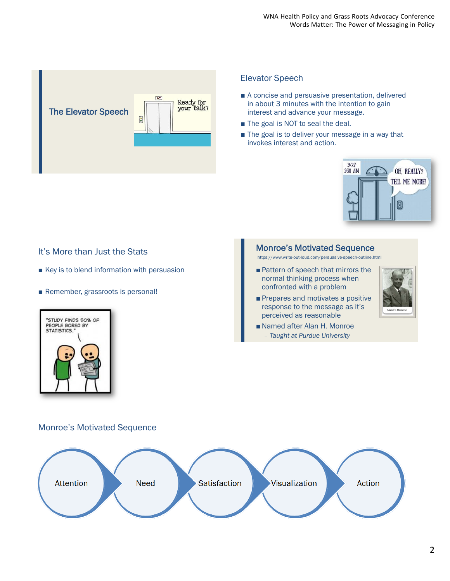

#### Elevator Speech

- A concise and persuasive presentation, delivered in about 3 minutes with the intention to gain interest and advance your message.
- The goal is NOT to seal the deal.
- The goal is to deliver your message in a way that invokes interest and action.



#### It's More than Just the Stats

- Key is to blend information with persuasion
- Remember, grassroots is personal!



#### Monroe's Motivated Sequence

https://www.write-out-loud.com/persuasive-speech-outline.html

- Pattern of speech that mirrors the normal thinking process when confronted with a problem
- Prepares and motivates a positive response to the message as it's perceived as reasonable



■ Named after Alan H. Monroe – *Taught at Purdue University*

#### Monroe's Motivated Sequence

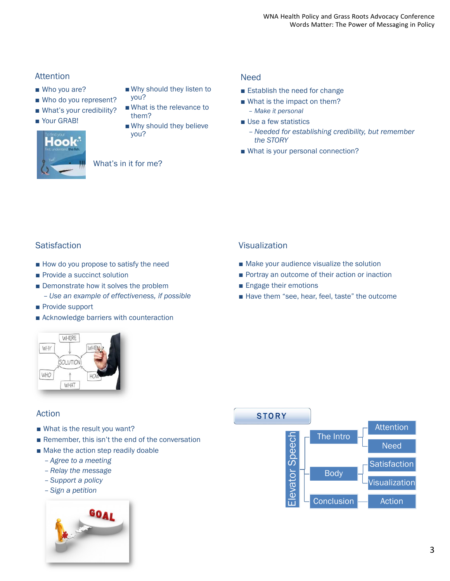### Attention

- Who you are?
- Who do you represent?
- What's your credibility?
- Your GRAB!
- Why should they listen to you?
- What is the relevance to them?
- Why should they believe you?



What's in it for me?

#### Need

- Establish the need for change
- What is the impact on them? – *Make it personal*
- Use a few statistics
	- *Needed for establishing credibility, but remember the STORY*
- What is your personal connection?

## **Satisfaction**

- How do you propose to satisfy the need
- Provide a succinct solution
- Demonstrate how it solves the problem – *Use an example of effectiveness, if possible*
- Provide support
- Acknowledge barriers with counteraction

## WHERE WHY SOLUTION WHO WHAT

## Action

- What is the result you want?
- Remember, this isn't the end of the conversation
- Make the action step readily doable
	- *Agree to a meeting*
	- *Relay the message*
	- *Support a policy*
	- *Sign a petition*



## Visualization

- Make your audience visualize the solution
- Portray an outcome of their action or inaction
- Engage their emotions
- Have them "see, hear, feel, taste" the outcome